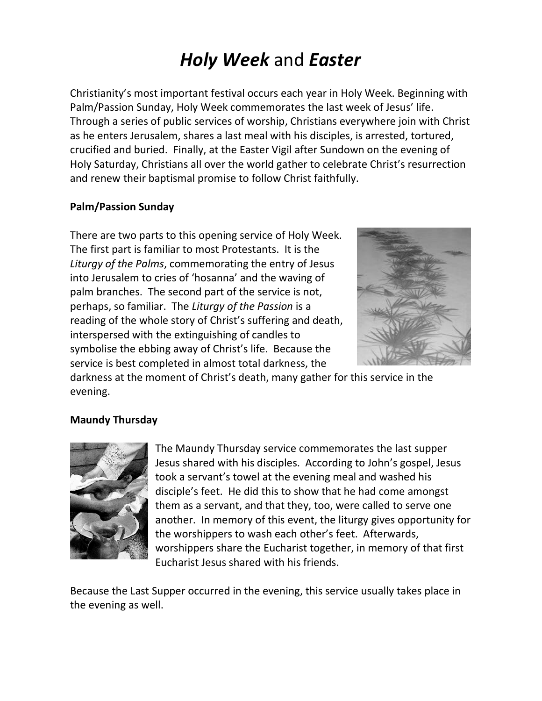# *Holy Week* and *Easter*

Christianity's most important festival occurs each year in Holy Week. Beginning with Palm/Passion Sunday, Holy Week commemorates the last week of Jesus' life. Through a series of public services of worship, Christians everywhere join with Christ as he enters Jerusalem, shares a last meal with his disciples, is arrested, tortured, crucified and buried. Finally, at the Easter Vigil after Sundown on the evening of Holy Saturday, Christians all over the world gather to celebrate Christ's resurrection and renew their baptismal promise to follow Christ faithfully.

#### **Palm/Passion Sunday**

There are two parts to this opening service of Holy Week. The first part is familiar to most Protestants. It is the *Liturgy of the Palms*, commemorating the entry of Jesus into Jerusalem to cries of 'hosanna' and the waving of palm branches. The second part of the service is not, perhaps, so familiar. The *Liturgy of the Passion* is a reading of the whole story of Christ's suffering and death, interspersed with the extinguishing of candles to symbolise the ebbing away of Christ's life. Because the service is best completed in almost total darkness, the



darkness at the moment of Christ's death, many gather for this service in the evening.

### **Maundy Thursday**



The Maundy Thursday service commemorates the last supper Jesus shared with his disciples. According to John's gospel, Jesus took a servant's towel at the evening meal and washed his disciple's feet. He did this to show that he had come amongst them as a servant, and that they, too, were called to serve one another. In memory of this event, the liturgy gives opportunity for the worshippers to wash each other's feet. Afterwards, worshippers share the Eucharist together, in memory of that first Eucharist Jesus shared with his friends.

Because the Last Supper occurred in the evening, this service usually takes place in the evening as well.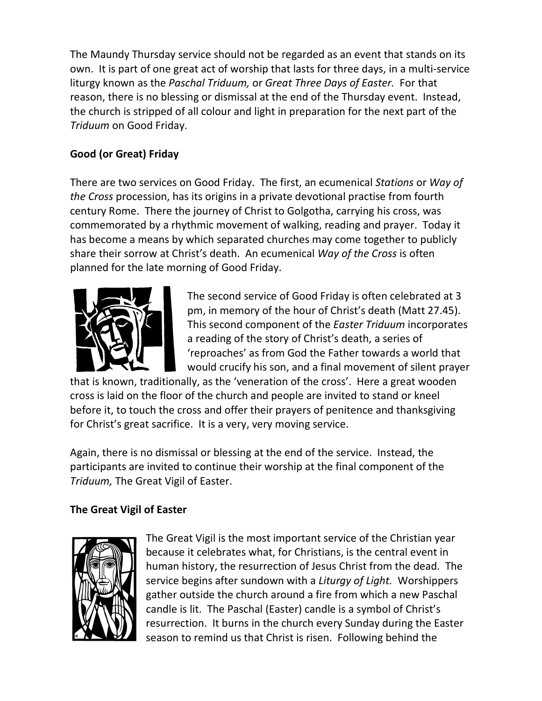The Maundy Thursday service should not be regarded as an event that stands on its own. It is part of one great act of worship that lasts for three days, in a multi-service liturgy known as the *Paschal Triduum,* or *Great Three Days of Easter.* For that reason, there is no blessing or dismissal at the end of the Thursday event. Instead, the church is stripped of all colour and light in preparation for the next part of the *Triduum* on Good Friday.

# **Good (or Great) Friday**

There are two services on Good Friday. The first, an ecumenical *Stations* or *Way of the Cross* procession, has its origins in a private devotional practise from fourth century Rome. There the journey of Christ to Golgotha, carrying his cross, was commemorated by a rhythmic movement of walking, reading and prayer. Today it has become a means by which separated churches may come together to publicly share their sorrow at Christ's death. An ecumenical *Way of the Cross* is often planned for the late morning of Good Friday.



The second service of Good Friday is often celebrated at 3 pm, in memory of the hour of Christ's death (Matt 27.45). This second component of the *Easter Triduum* incorporates a reading of the story of Christ's death, a series of 'reproaches' as from God the Father towards a world that would crucify his son, and a final movement of silent prayer

that is known, traditionally, as the 'veneration of the cross'. Here a great wooden cross is laid on the floor of the church and people are invited to stand or kneel before it, to touch the cross and offer their prayers of penitence and thanksgiving for Christ's great sacrifice. It is a very, very moving service.

Again, there is no dismissal or blessing at the end of the service. Instead, the participants are invited to continue their worship at the final component of the *Triduum,* The Great Vigil of Easter.

## **The Great Vigil of Easter**



The Great Vigil is the most important service of the Christian year because it celebrates what, for Christians, is the central event in human history, the resurrection of Jesus Christ from the dead. The service begins after sundown with a *Liturgy of Light.* Worshippers gather outside the church around a fire from which a new Paschal candle is lit. The Paschal (Easter) candle is a symbol of Christ's resurrection. It burns in the church every Sunday during the Easter season to remind us that Christ is risen. Following behind the